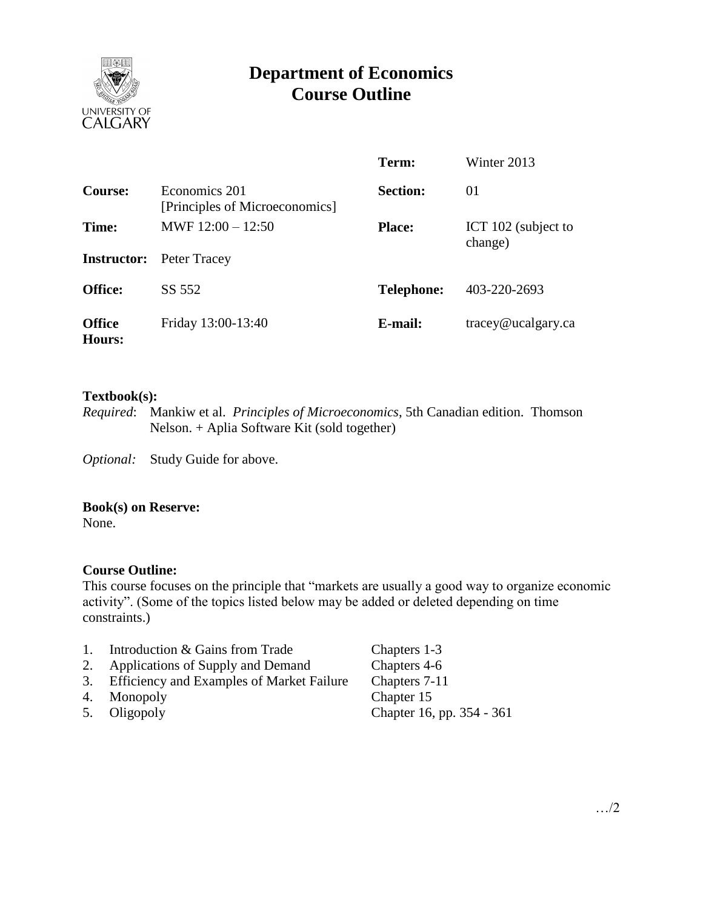

# **Department of Economics Course Outline**

|                         |                                                 | Term:             | Winter 2013                    |
|-------------------------|-------------------------------------------------|-------------------|--------------------------------|
| Course:                 | Economics 201<br>[Principles of Microeconomics] | <b>Section:</b>   | 01                             |
| Time:                   | MWF $12:00 - 12:50$                             | <b>Place:</b>     | ICT 102 (subject to<br>change) |
|                         | <b>Instructor:</b> Peter Tracey                 |                   |                                |
| <b>Office:</b>          | SS 552                                          | <b>Telephone:</b> | 403-220-2693                   |
| <b>Office</b><br>Hours: | Friday 13:00-13:40                              | E-mail:           | tracey@ucalgary.ca             |

### **Textbook(s):**

*Required*: Mankiw et al. *Principles of Microeconomics*, 5th Canadian edition. Thomson Nelson. + Aplia Software Kit (sold together)

*Optional:* Study Guide for above.

### **Book(s) on Reserve:**

None.

# **Course Outline:**

This course focuses on the principle that "markets are usually a good way to organize economic activity". (Some of the topics listed below may be added or deleted depending on time constraints.)

- 1. Introduction & Gains from Trade Chapters 1-3
- 2. Applications of Supply and Demand Chapters 4-6
- 3. Efficiency and Examples of Market Failure Chapters 7-11
- 
- 

4. Monopoly Chapter 15<br>5. Oligopoly Chapter 16, 5. Oligopoly Chapter 16, pp. 354 - 361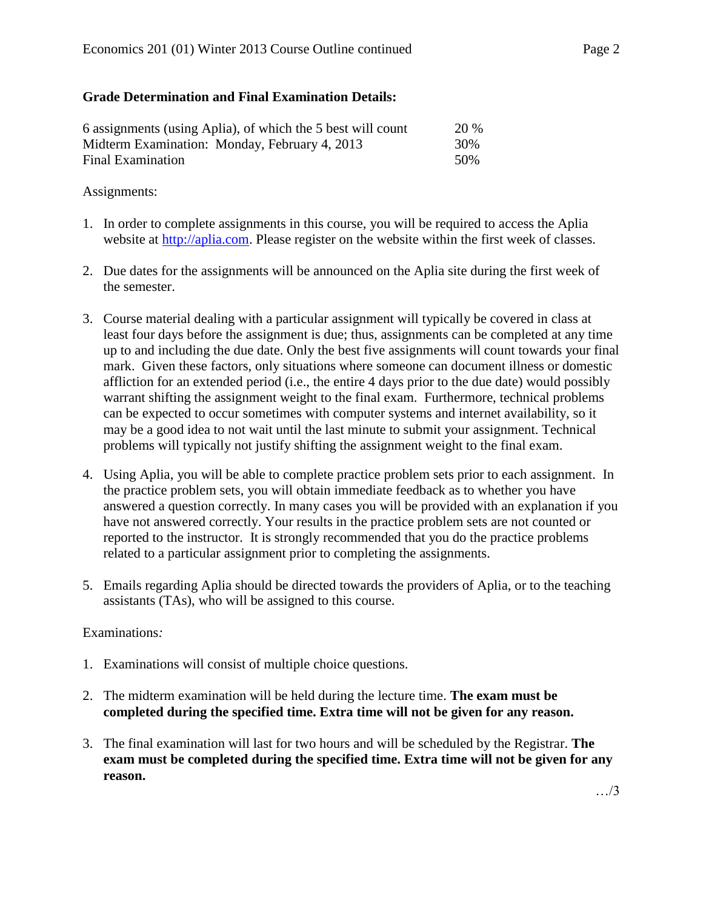# **Grade Determination and Final Examination Details:**

| 6 assignments (using Aplia), of which the 5 best will count | <b>20 %</b> |
|-------------------------------------------------------------|-------------|
| Midterm Examination: Monday, February 4, 2013               | 30%         |
| Final Examination                                           | 50%         |

## Assignments:

- 1. In order to complete assignments in this course, you will be required to access the Aplia website at [http://aplia.com.](http://aplia.com/) Please register on the website within the first week of classes.
- 2. Due dates for the assignments will be announced on the Aplia site during the first week of the semester.
- 3. Course material dealing with a particular assignment will typically be covered in class at least four days before the assignment is due; thus, assignments can be completed at any time up to and including the due date. Only the best five assignments will count towards your final mark. Given these factors, only situations where someone can document illness or domestic affliction for an extended period (i.e., the entire 4 days prior to the due date) would possibly warrant shifting the assignment weight to the final exam. Furthermore, technical problems can be expected to occur sometimes with computer systems and internet availability, so it may be a good idea to not wait until the last minute to submit your assignment. Technical problems will typically not justify shifting the assignment weight to the final exam.
- 4. Using Aplia, you will be able to complete practice problem sets prior to each assignment. In the practice problem sets, you will obtain immediate feedback as to whether you have answered a question correctly. In many cases you will be provided with an explanation if you have not answered correctly. Your results in the practice problem sets are not counted or reported to the instructor. It is strongly recommended that you do the practice problems related to a particular assignment prior to completing the assignments.
- 5. Emails regarding Aplia should be directed towards the providers of Aplia, or to the teaching assistants (TAs), who will be assigned to this course.

# Examinations*:*

- 1. Examinations will consist of multiple choice questions.
- 2. The midterm examination will be held during the lecture time. **The exam must be completed during the specified time. Extra time will not be given for any reason.**
- 3. The final examination will last for two hours and will be scheduled by the Registrar. **The exam must be completed during the specified time. Extra time will not be given for any reason.**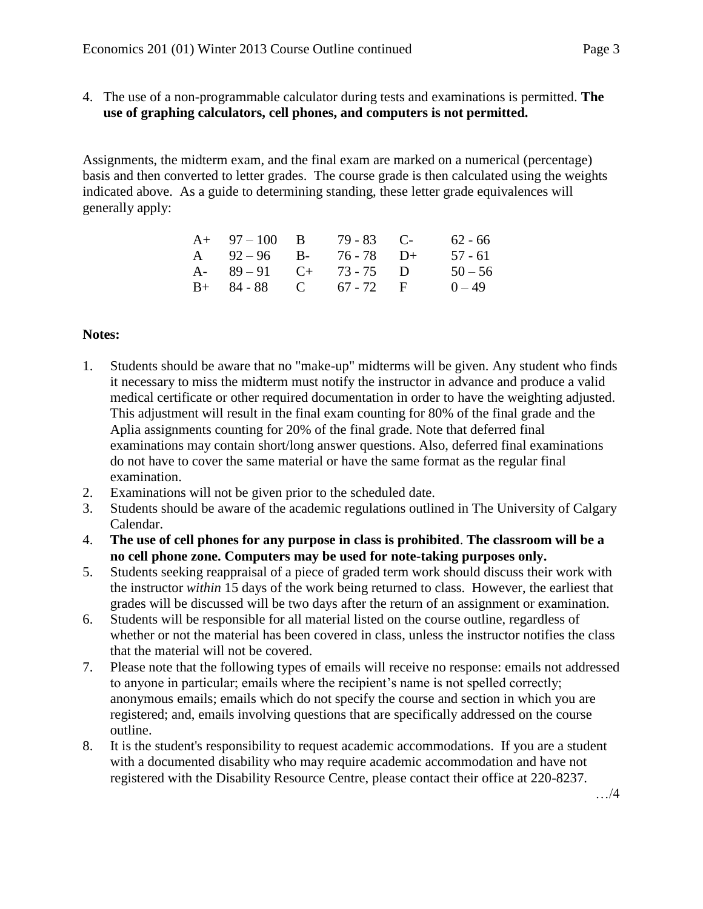- 
- 4. The use of a non-programmable calculator during tests and examinations is permitted. **The use of graphing calculators, cell phones, and computers is not permitted.**

Assignments, the midterm exam, and the final exam are marked on a numerical (percentage) basis and then converted to letter grades. The course grade is then calculated using the weights indicated above. As a guide to determining standing, these letter grade equivalences will generally apply:

| $A+ 97-100 B$           | $79 - 83$ C- | $62 - 66$ |
|-------------------------|--------------|-----------|
| A $92-96$ B- $76-78$ D+ |              | 57 - 61   |
| A- $89-91$ C+ 73-75 D   |              | $50 - 56$ |
| $B+ 84-88$ C 67 - 72 F  |              | $0 - 49$  |

# **Notes:**

- 1. Students should be aware that no "make-up" midterms will be given. Any student who finds it necessary to miss the midterm must notify the instructor in advance and produce a valid medical certificate or other required documentation in order to have the weighting adjusted. This adjustment will result in the final exam counting for 80% of the final grade and the Aplia assignments counting for 20% of the final grade. Note that deferred final examinations may contain short/long answer questions. Also, deferred final examinations do not have to cover the same material or have the same format as the regular final examination.
- 2. Examinations will not be given prior to the scheduled date.
- 3. Students should be aware of the academic regulations outlined in The University of Calgary Calendar.
- 4. **The use of cell phones for any purpose in class is prohibited**. **The classroom will be a no cell phone zone. Computers may be used for note-taking purposes only.**
- 5. Students seeking reappraisal of a piece of graded term work should discuss their work with the instructor *within* 15 days of the work being returned to class. However, the earliest that grades will be discussed will be two days after the return of an assignment or examination.
- 6. Students will be responsible for all material listed on the course outline, regardless of whether or not the material has been covered in class, unless the instructor notifies the class that the material will not be covered.
- 7. Please note that the following types of emails will receive no response: emails not addressed to anyone in particular; emails where the recipient's name is not spelled correctly; anonymous emails; emails which do not specify the course and section in which you are registered; and, emails involving questions that are specifically addressed on the course outline.
- 8. It is the student's responsibility to request academic accommodations. If you are a student with a documented disability who may require academic accommodation and have not registered with the Disability Resource Centre, please contact their office at 220-8237.